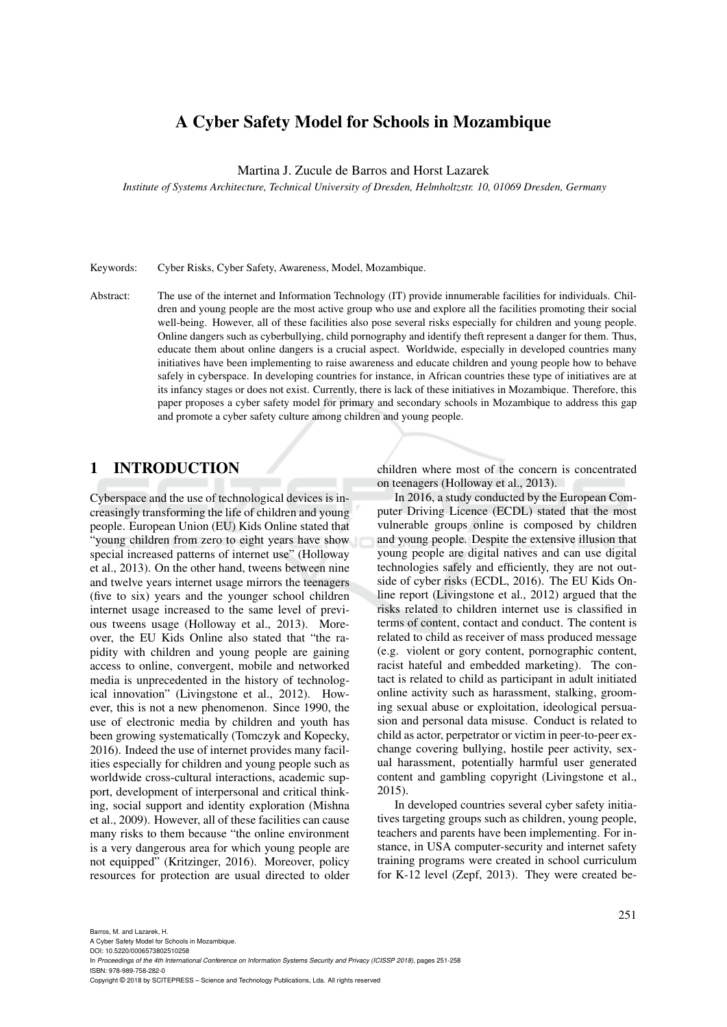# A Cyber Safety Model for Schools in Mozambique

Martina J. Zucule de Barros and Horst Lazarek

*Institute of Systems Architecture, Technical University of Dresden, Helmholtzstr. 10, 01069 Dresden, Germany*

Keywords: Cyber Risks, Cyber Safety, Awareness, Model, Mozambique.

Abstract: The use of the internet and Information Technology (IT) provide innumerable facilities for individuals. Children and young people are the most active group who use and explore all the facilities promoting their social well-being. However, all of these facilities also pose several risks especially for children and young people. Online dangers such as cyberbullying, child pornography and identify theft represent a danger for them. Thus, educate them about online dangers is a crucial aspect. Worldwide, especially in developed countries many initiatives have been implementing to raise awareness and educate children and young people how to behave safely in cyberspace. In developing countries for instance, in African countries these type of initiatives are at its infancy stages or does not exist. Currently, there is lack of these initiatives in Mozambique. Therefore, this paper proposes a cyber safety model for primary and secondary schools in Mozambique to address this gap and promote a cyber safety culture among children and young people.

# 1 INTRODUCTION

Cyberspace and the use of technological devices is increasingly transforming the life of children and young people. European Union (EU) Kids Online stated that "young children from zero to eight years have show special increased patterns of internet use" (Holloway et al., 2013). On the other hand, tweens between nine and twelve years internet usage mirrors the teenagers (five to six) years and the younger school children internet usage increased to the same level of previous tweens usage (Holloway et al., 2013). Moreover, the EU Kids Online also stated that "the rapidity with children and young people are gaining access to online, convergent, mobile and networked media is unprecedented in the history of technological innovation" (Livingstone et al., 2012). However, this is not a new phenomenon. Since 1990, the use of electronic media by children and youth has been growing systematically (Tomczyk and Kopecky, 2016). Indeed the use of internet provides many facilities especially for children and young people such as worldwide cross-cultural interactions, academic support, development of interpersonal and critical thinking, social support and identity exploration (Mishna et al., 2009). However, all of these facilities can cause many risks to them because "the online environment is a very dangerous area for which young people are not equipped" (Kritzinger, 2016). Moreover, policy resources for protection are usual directed to older

children where most of the concern is concentrated on teenagers (Holloway et al., 2013).

In 2016, a study conducted by the European Computer Driving Licence (ECDL) stated that the most vulnerable groups online is composed by children and young people. Despite the extensive illusion that young people are digital natives and can use digital technologies safely and efficiently, they are not outside of cyber risks (ECDL, 2016). The EU Kids Online report (Livingstone et al., 2012) argued that the risks related to children internet use is classified in terms of content, contact and conduct. The content is related to child as receiver of mass produced message (e.g. violent or gory content, pornographic content, racist hateful and embedded marketing). The contact is related to child as participant in adult initiated online activity such as harassment, stalking, grooming sexual abuse or exploitation, ideological persuasion and personal data misuse. Conduct is related to child as actor, perpetrator or victim in peer-to-peer exchange covering bullying, hostile peer activity, sexual harassment, potentially harmful user generated content and gambling copyright (Livingstone et al., 2015).

In developed countries several cyber safety initiatives targeting groups such as children, young people, teachers and parents have been implementing. For instance, in USA computer-security and internet safety training programs were created in school curriculum for K-12 level (Zepf, 2013). They were created be-

A Cyber Safety Model for Schools in Mozambique. DOI: 10.5220/0006573802510258

In *Proceedings of the 4th International Conference on Information Systems Security and Privacy (ICISSP 2018)*, pages 251-258 ISBN: 978-989-758-282-0

Copyright © 2018 by SCITEPRESS – Science and Technology Publications, Lda. All rights reserved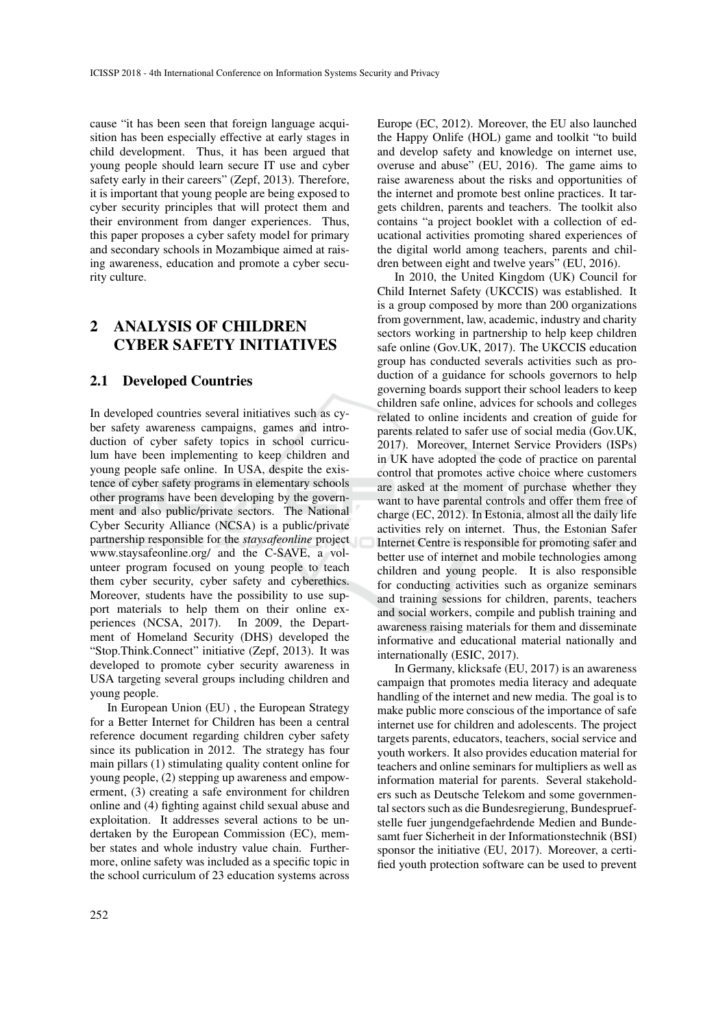cause "it has been seen that foreign language acquisition has been especially effective at early stages in child development. Thus, it has been argued that young people should learn secure IT use and cyber safety early in their careers" (Zepf, 2013). Therefore, it is important that young people are being exposed to cyber security principles that will protect them and their environment from danger experiences. Thus, this paper proposes a cyber safety model for primary and secondary schools in Mozambique aimed at raising awareness, education and promote a cyber security culture.

# 2 ANALYSIS OF CHILDREN CYBER SAFETY INITIATIVES

### 2.1 Developed Countries

In developed countries several initiatives such as cyber safety awareness campaigns, games and introduction of cyber safety topics in school curriculum have been implementing to keep children and young people safe online. In USA, despite the existence of cyber safety programs in elementary schools other programs have been developing by the government and also public/private sectors. The National Cyber Security Alliance (NCSA) is a public/private partnership responsible for the *staysafeonline* project www.staysafeonline.org/ and the C-SAVE, a volunteer program focused on young people to teach them cyber security, cyber safety and cyberethics. Moreover, students have the possibility to use support materials to help them on their online experiences (NCSA, 2017). In 2009, the Department of Homeland Security (DHS) developed the "Stop.Think.Connect" initiative (Zepf, 2013). It was developed to promote cyber security awareness in USA targeting several groups including children and young people.

In European Union (EU) , the European Strategy for a Better Internet for Children has been a central reference document regarding children cyber safety since its publication in 2012. The strategy has four main pillars (1) stimulating quality content online for young people, (2) stepping up awareness and empowerment, (3) creating a safe environment for children online and (4) fighting against child sexual abuse and exploitation. It addresses several actions to be undertaken by the European Commission (EC), member states and whole industry value chain. Furthermore, online safety was included as a specific topic in the school curriculum of 23 education systems across

Europe (EC, 2012). Moreover, the EU also launched the Happy Onlife (HOL) game and toolkit "to build and develop safety and knowledge on internet use, overuse and abuse" (EU, 2016). The game aims to raise awareness about the risks and opportunities of the internet and promote best online practices. It targets children, parents and teachers. The toolkit also contains "a project booklet with a collection of educational activities promoting shared experiences of the digital world among teachers, parents and children between eight and twelve years" (EU, 2016).

In 2010, the United Kingdom (UK) Council for Child Internet Safety (UKCCIS) was established. It is a group composed by more than 200 organizations from government, law, academic, industry and charity sectors working in partnership to help keep children safe online (Gov.UK, 2017). The UKCCIS education group has conducted severals activities such as production of a guidance for schools governors to help governing boards support their school leaders to keep children safe online, advices for schools and colleges related to online incidents and creation of guide for parents related to safer use of social media (Gov.UK, 2017). Moreover, Internet Service Providers (ISPs) in UK have adopted the code of practice on parental control that promotes active choice where customers are asked at the moment of purchase whether they want to have parental controls and offer them free of charge (EC, 2012). In Estonia, almost all the daily life activities rely on internet. Thus, the Estonian Safer Internet Centre is responsible for promoting safer and better use of internet and mobile technologies among children and young people. It is also responsible for conducting activities such as organize seminars and training sessions for children, parents, teachers and social workers, compile and publish training and awareness raising materials for them and disseminate informative and educational material nationally and internationally (ESIC, 2017).

In Germany, klicksafe (EU, 2017) is an awareness campaign that promotes media literacy and adequate handling of the internet and new media. The goal is to make public more conscious of the importance of safe internet use for children and adolescents. The project targets parents, educators, teachers, social service and youth workers. It also provides education material for teachers and online seminars for multipliers as well as information material for parents. Several stakeholders such as Deutsche Telekom and some governmental sectors such as die Bundesregierung, Bundespruefstelle fuer jungendgefaehrdende Medien and Bundesamt fuer Sicherheit in der Informationstechnik (BSI) sponsor the initiative (EU, 2017). Moreover, a certified youth protection software can be used to prevent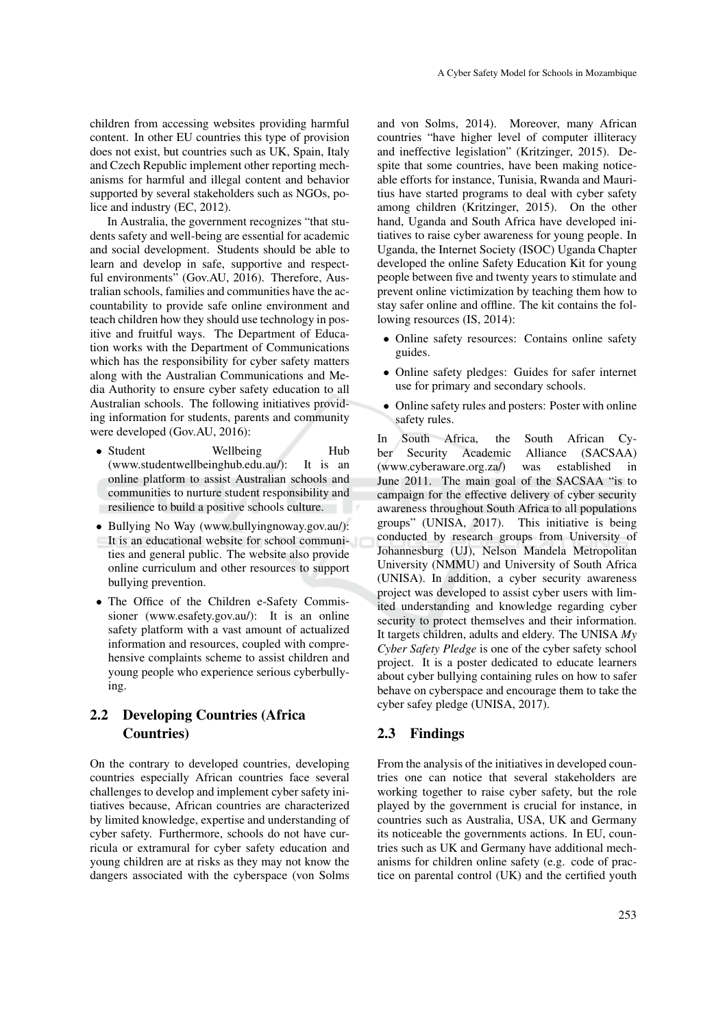children from accessing websites providing harmful content. In other EU countries this type of provision does not exist, but countries such as UK, Spain, Italy and Czech Republic implement other reporting mechanisms for harmful and illegal content and behavior supported by several stakeholders such as NGOs, police and industry (EC, 2012).

In Australia, the government recognizes "that students safety and well-being are essential for academic and social development. Students should be able to learn and develop in safe, supportive and respectful environments" (Gov.AU, 2016). Therefore, Australian schools, families and communities have the accountability to provide safe online environment and teach children how they should use technology in positive and fruitful ways. The Department of Education works with the Department of Communications which has the responsibility for cyber safety matters along with the Australian Communications and Media Authority to ensure cyber safety education to all Australian schools. The following initiatives providing information for students, parents and community were developed (Gov.AU, 2016):

- Student Wellbeing Hub<br>(www.studentwellbeinghub.edu.au/): It is an  $(www. student well being hub.edu.au$ ): online platform to assist Australian schools and communities to nurture student responsibility and resilience to build a positive schools culture.
- Bullying No Way (www.bullyingnoway.gov.au/): It is an educational website for school communities and general public. The website also provide online curriculum and other resources to support bullying prevention.
- The Office of the Children e-Safety Commissioner (www.esafety.gov.au/): It is an online safety platform with a vast amount of actualized information and resources, coupled with comprehensive complaints scheme to assist children and young people who experience serious cyberbullying.

# 2.2 Developing Countries (Africa Countries)

On the contrary to developed countries, developing countries especially African countries face several challenges to develop and implement cyber safety initiatives because, African countries are characterized by limited knowledge, expertise and understanding of cyber safety. Furthermore, schools do not have curricula or extramural for cyber safety education and young children are at risks as they may not know the dangers associated with the cyberspace (von Solms

and von Solms, 2014). Moreover, many African countries "have higher level of computer illiteracy and ineffective legislation" (Kritzinger, 2015). Despite that some countries, have been making noticeable efforts for instance, Tunisia, Rwanda and Mauritius have started programs to deal with cyber safety among children (Kritzinger, 2015). On the other hand, Uganda and South Africa have developed initiatives to raise cyber awareness for young people. In Uganda, the Internet Society (ISOC) Uganda Chapter developed the online Safety Education Kit for young people between five and twenty years to stimulate and prevent online victimization by teaching them how to stay safer online and offline. The kit contains the following resources (IS, 2014):

- Online safety resources: Contains online safety guides.
- Online safety pledges: Guides for safer internet use for primary and secondary schools.
- Online safety rules and posters: Poster with online safety rules.

In South Africa, the South African Cyber Security Academic Alliance (SACSAA) (www.cyberaware.org.za/) was established in June 2011. The main goal of the SACSAA "is to campaign for the effective delivery of cyber security awareness throughout South Africa to all populations groups" (UNISA, 2017). This initiative is being conducted by research groups from University of Johannesburg (UJ), Nelson Mandela Metropolitan University (NMMU) and University of South Africa (UNISA). In addition, a cyber security awareness project was developed to assist cyber users with limited understanding and knowledge regarding cyber security to protect themselves and their information. It targets children, adults and eldery. The UNISA *My Cyber Safety Pledge* is one of the cyber safety school project. It is a poster dedicated to educate learners about cyber bullying containing rules on how to safer behave on cyberspace and encourage them to take the cyber safey pledge (UNISA, 2017).

#### 2.3 Findings

From the analysis of the initiatives in developed countries one can notice that several stakeholders are working together to raise cyber safety, but the role played by the government is crucial for instance, in countries such as Australia, USA, UK and Germany its noticeable the governments actions. In EU, countries such as UK and Germany have additional mechanisms for children online safety (e.g. code of practice on parental control (UK) and the certified youth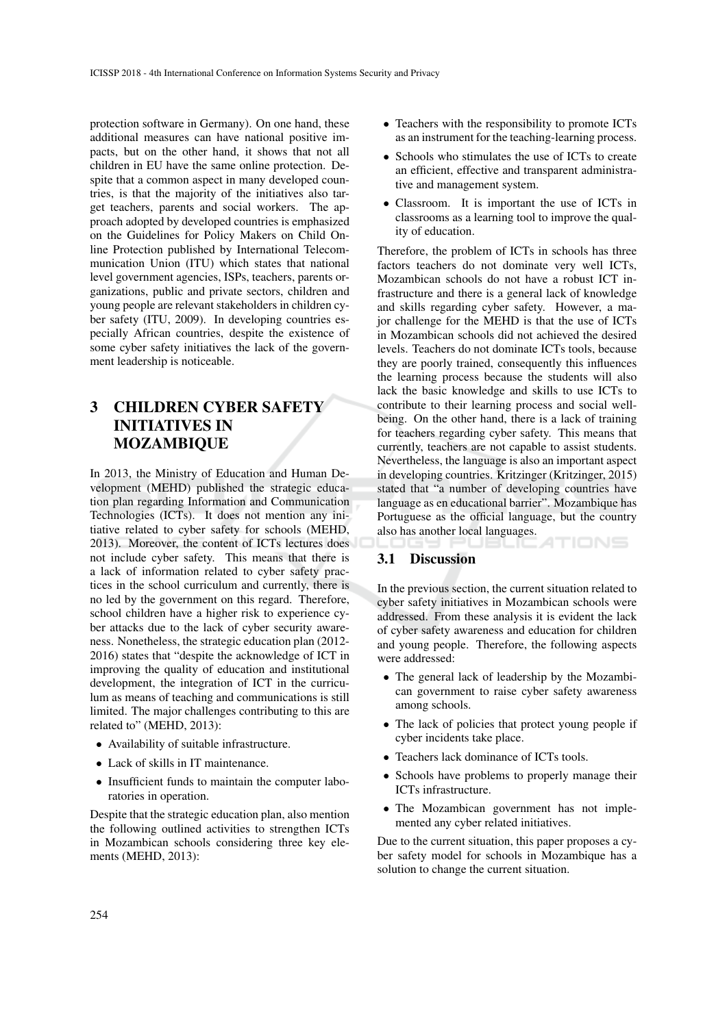protection software in Germany). On one hand, these additional measures can have national positive impacts, but on the other hand, it shows that not all children in EU have the same online protection. Despite that a common aspect in many developed countries, is that the majority of the initiatives also target teachers, parents and social workers. The approach adopted by developed countries is emphasized on the Guidelines for Policy Makers on Child Online Protection published by International Telecommunication Union (ITU) which states that national level government agencies, ISPs, teachers, parents organizations, public and private sectors, children and young people are relevant stakeholders in children cyber safety (ITU, 2009). In developing countries especially African countries, despite the existence of some cyber safety initiatives the lack of the government leadership is noticeable.

# 3 CHILDREN CYBER SAFETY INITIATIVES IN MOZAMBIQUE

In 2013, the Ministry of Education and Human Development (MEHD) published the strategic education plan regarding Information and Communication Technologies (ICTs). It does not mention any initiative related to cyber safety for schools (MEHD, 2013). Moreover, the content of ICTs lectures does not include cyber safety. This means that there is a lack of information related to cyber safety practices in the school curriculum and currently, there is no led by the government on this regard. Therefore, school children have a higher risk to experience cyber attacks due to the lack of cyber security awareness. Nonetheless, the strategic education plan (2012- 2016) states that "despite the acknowledge of ICT in improving the quality of education and institutional development, the integration of ICT in the curriculum as means of teaching and communications is still limited. The major challenges contributing to this are related to" (MEHD, 2013):

- Availability of suitable infrastructure.
- Lack of skills in IT maintenance.
- Insufficient funds to maintain the computer laboratories in operation.

Despite that the strategic education plan, also mention the following outlined activities to strengthen ICTs in Mozambican schools considering three key elements (MEHD, 2013):

- Teachers with the responsibility to promote ICTs as an instrument for the teaching-learning process.
- Schools who stimulates the use of ICTs to create an efficient, effective and transparent administrative and management system.
- Classroom. It is important the use of ICTs in classrooms as a learning tool to improve the quality of education.

Therefore, the problem of ICTs in schools has three factors teachers do not dominate very well ICTs, Mozambican schools do not have a robust ICT infrastructure and there is a general lack of knowledge and skills regarding cyber safety. However, a major challenge for the MEHD is that the use of ICTs in Mozambican schools did not achieved the desired levels. Teachers do not dominate ICTs tools, because they are poorly trained, consequently this influences the learning process because the students will also lack the basic knowledge and skills to use ICTs to contribute to their learning process and social wellbeing. On the other hand, there is a lack of training for teachers regarding cyber safety. This means that currently, teachers are not capable to assist students. Nevertheless, the language is also an important aspect in developing countries. Kritzinger (Kritzinger, 2015) stated that "a number of developing countries have language as en educational barrier". Mozambique has Portuguese as the official language, but the country also has another local languages.

#### 3.1 Discussion

In the previous section, the current situation related to cyber safety initiatives in Mozambican schools were addressed. From these analysis it is evident the lack of cyber safety awareness and education for children and young people. Therefore, the following aspects were addressed:

- The general lack of leadership by the Mozambican government to raise cyber safety awareness among schools.
- The lack of policies that protect young people if cyber incidents take place.
- Teachers lack dominance of ICTs tools.
- Schools have problems to properly manage their ICTs infrastructure.
- The Mozambican government has not implemented any cyber related initiatives.

Due to the current situation, this paper proposes a cyber safety model for schools in Mozambique has a solution to change the current situation.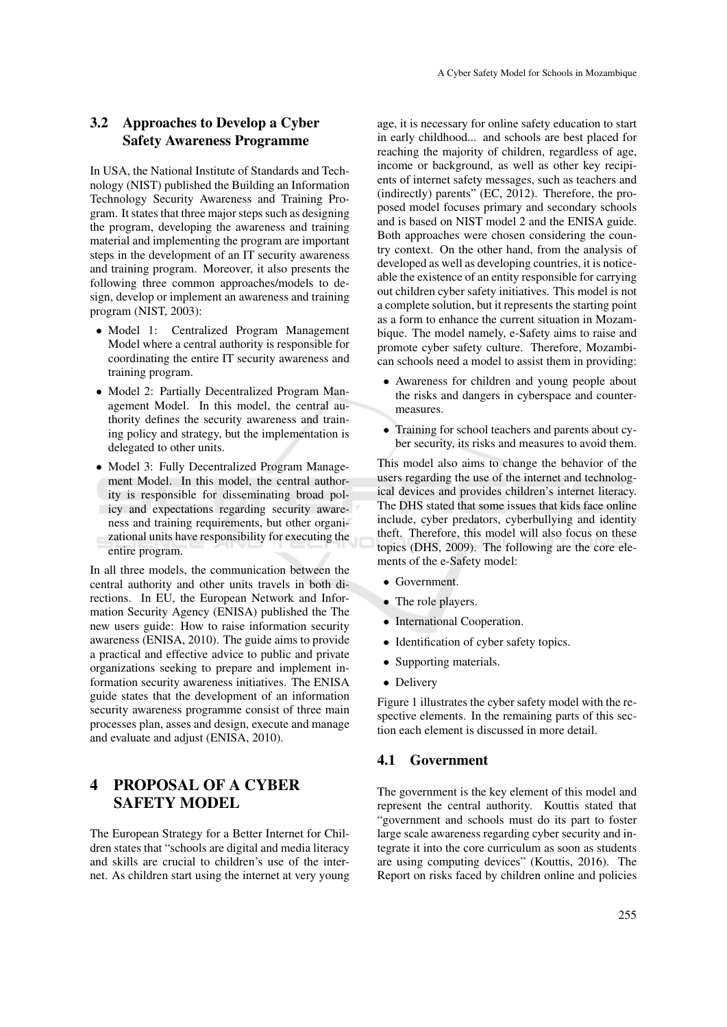## 3.2 Approaches to Develop a Cyber Safety Awareness Programme

In USA, the National Institute of Standards and Technology (NIST) published the Building an Information Technology Security Awareness and Training Program. It states that three major steps such as designing the program, developing the awareness and training material and implementing the program are important steps in the development of an IT security awareness and training program. Moreover, it also presents the following three common approaches/models to design, develop or implement an awareness and training program (NIST, 2003):

- Model 1: Centralized Program Management Model where a central authority is responsible for coordinating the entire IT security awareness and training program.
- Model 2: Partially Decentralized Program Management Model. In this model, the central authority defines the security awareness and training policy and strategy, but the implementation is delegated to other units.
- Model 3: Fully Decentralized Program Management Model. In this model, the central authority is responsible for disseminating broad policy and expectations regarding security awareness and training requirements, but other organizational units have responsibility for executing the entire program.

In all three models, the communication between the central authority and other units travels in both directions. In EU, the European Network and Information Security Agency (ENISA) published the The new users guide: How to raise information security awareness (ENISA, 2010). The guide aims to provide a practical and effective advice to public and private organizations seeking to prepare and implement information security awareness initiatives. The ENISA guide states that the development of an information security awareness programme consist of three main processes plan, asses and design, execute and manage and evaluate and adjust (ENISA, 2010).

# 4 PROPOSAL OF A CYBER SAFETY MODEL

The European Strategy for a Better Internet for Children states that "schools are digital and media literacy and skills are crucial to children's use of the internet. As children start using the internet at very young

age, it is necessary for online safety education to start in early childhood... and schools are best placed for reaching the majority of children, regardless of age, income or background, as well as other key recipients of internet safety messages, such as teachers and (indirectly) parents" (EC, 2012). Therefore, the proposed model focuses primary and secondary schools and is based on NIST model 2 and the ENISA guide. Both approaches were chosen considering the country context. On the other hand, from the analysis of developed as well as developing countries, it is noticeable the existence of an entity responsible for carrying out children cyber safety initiatives. This model is not a complete solution, but it represents the starting point as a form to enhance the current situation in Mozambique. The model namely, e-Safety aims to raise and promote cyber safety culture. Therefore, Mozambican schools need a model to assist them in providing:

- Awareness for children and young people about the risks and dangers in cyberspace and countermeasures.
- Training for school teachers and parents about cyber security, its risks and measures to avoid them.

This model also aims to change the behavior of the users regarding the use of the internet and technological devices and provides children's internet literacy. The DHS stated that some issues that kids face online include, cyber predators, cyberbullying and identity theft. Therefore, this model will also focus on these topics (DHS, 2009). The following are the core elements of the e-Safety model:

- Government.
- The role players.
- International Cooperation.
- Identification of cyber safety topics.
- Supporting materials.
- Delivery

Figure 1 illustrates the cyber safety model with the respective elements. In the remaining parts of this section each element is discussed in more detail.

#### 4.1 Government

The government is the key element of this model and represent the central authority. Kouttis stated that "government and schools must do its part to foster large scale awareness regarding cyber security and integrate it into the core curriculum as soon as students are using computing devices" (Kouttis, 2016). The Report on risks faced by children online and policies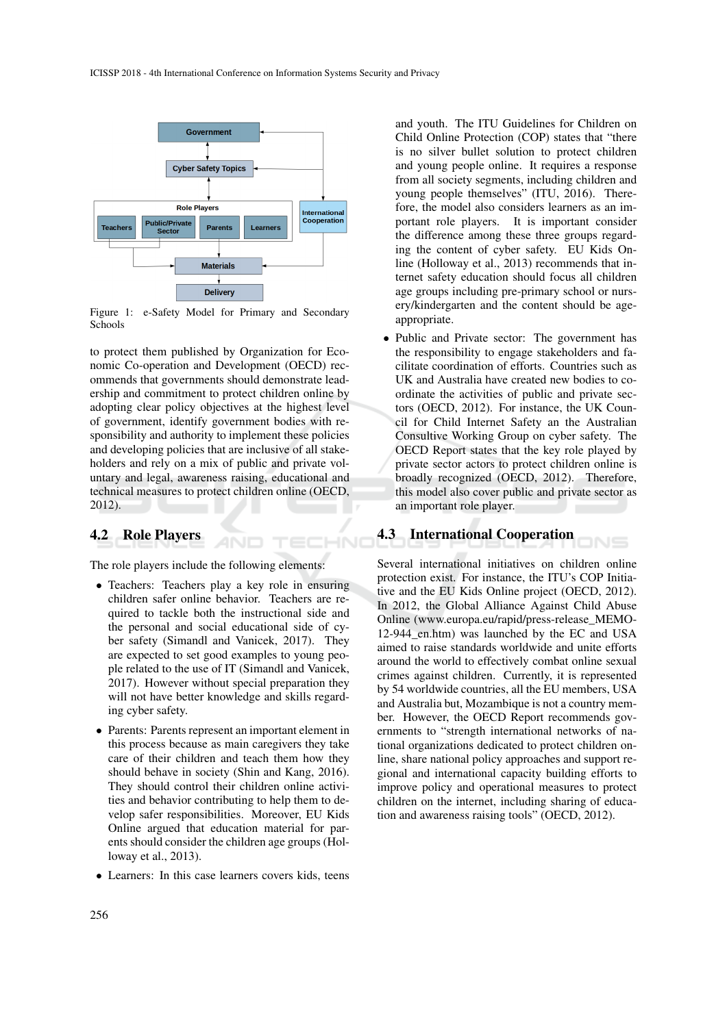

Figure 1: e-Safety Model for Primary and Secondary Schools

to protect them published by Organization for Economic Co-operation and Development (OECD) recommends that governments should demonstrate leadership and commitment to protect children online by adopting clear policy objectives at the highest level of government, identify government bodies with responsibility and authority to implement these policies and developing policies that are inclusive of all stakeholders and rely on a mix of public and private voluntary and legal, awareness raising, educational and technical measures to protect children online (OECD, 2012).

### 4.2 Role Players

The role players include the following elements:

HN<sub>I</sub>

TEI

- Teachers: Teachers play a key role in ensuring children safer online behavior. Teachers are required to tackle both the instructional side and the personal and social educational side of cyber safety (Simandl and Vanicek, 2017). They are expected to set good examples to young people related to the use of IT (Simandl and Vanicek, 2017). However without special preparation they will not have better knowledge and skills regarding cyber safety.
- Parents: Parents represent an important element in this process because as main caregivers they take care of their children and teach them how they should behave in society (Shin and Kang, 2016). They should control their children online activities and behavior contributing to help them to develop safer responsibilities. Moreover, EU Kids Online argued that education material for parents should consider the children age groups (Holloway et al., 2013).
- Learners: In this case learners covers kids, teens

and youth. The ITU Guidelines for Children on Child Online Protection (COP) states that "there is no silver bullet solution to protect children and young people online. It requires a response from all society segments, including children and young people themselves" (ITU, 2016). Therefore, the model also considers learners as an important role players. It is important consider the difference among these three groups regarding the content of cyber safety. EU Kids Online (Holloway et al., 2013) recommends that internet safety education should focus all children age groups including pre-primary school or nursery/kindergarten and the content should be ageappropriate.

• Public and Private sector: The government has the responsibility to engage stakeholders and facilitate coordination of efforts. Countries such as UK and Australia have created new bodies to coordinate the activities of public and private sectors (OECD, 2012). For instance, the UK Council for Child Internet Safety an the Australian Consultive Working Group on cyber safety. The OECD Report states that the key role played by private sector actors to protect children online is broadly recognized (OECD, 2012). Therefore, this model also cover public and private sector as an important role player.

### 4.3 International Cooperation

Several international initiatives on children online protection exist. For instance, the ITU's COP Initiative and the EU Kids Online project (OECD, 2012). In 2012, the Global Alliance Against Child Abuse Online (www.europa.eu/rapid/press-release\_MEMO-12-944 en.htm) was launched by the EC and USA aimed to raise standards worldwide and unite efforts around the world to effectively combat online sexual crimes against children. Currently, it is represented by 54 worldwide countries, all the EU members, USA and Australia but, Mozambique is not a country member. However, the OECD Report recommends governments to "strength international networks of national organizations dedicated to protect children online, share national policy approaches and support regional and international capacity building efforts to improve policy and operational measures to protect children on the internet, including sharing of education and awareness raising tools" (OECD, 2012).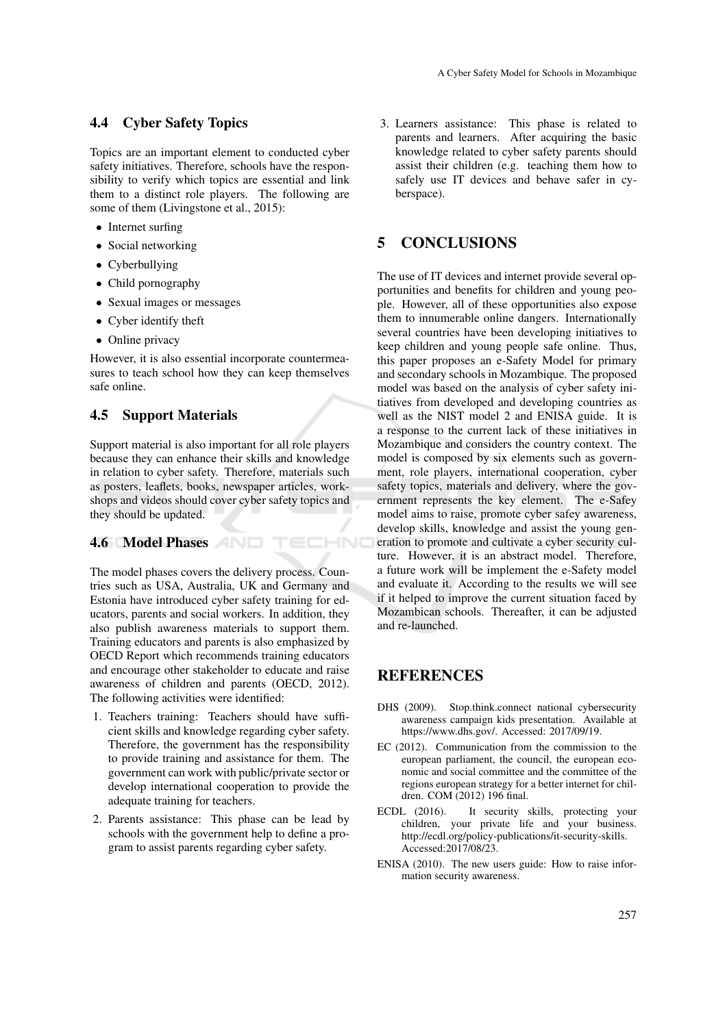### 4.4 Cyber Safety Topics

Topics are an important element to conducted cyber safety initiatives. Therefore, schools have the responsibility to verify which topics are essential and link them to a distinct role players. The following are some of them (Livingstone et al., 2015):

- Internet surfing
- Social networking
- Cyberbullying
- Child pornography
- Sexual images or messages
- Cyber identify theft
- Online privacy

However, it is also essential incorporate countermeasures to teach school how they can keep themselves safe online.

#### 4.5 Support Materials

Support material is also important for all role players because they can enhance their skills and knowledge in relation to cyber safety. Therefore, materials such as posters, leaflets, books, newspaper articles, workshops and videos should cover cyber safety topics and they should be updated.

TECHNO

### 4.6 Model Phases

The model phases covers the delivery process. Countries such as USA, Australia, UK and Germany and Estonia have introduced cyber safety training for educators, parents and social workers. In addition, they also publish awareness materials to support them. Training educators and parents is also emphasized by OECD Report which recommends training educators and encourage other stakeholder to educate and raise awareness of children and parents (OECD, 2012). The following activities were identified:

- 1. Teachers training: Teachers should have sufficient skills and knowledge regarding cyber safety. Therefore, the government has the responsibility to provide training and assistance for them. The government can work with public/private sector or develop international cooperation to provide the adequate training for teachers.
- 2. Parents assistance: This phase can be lead by schools with the government help to define a program to assist parents regarding cyber safety.

3. Learners assistance: This phase is related to parents and learners. After acquiring the basic knowledge related to cyber safety parents should assist their children (e.g. teaching them how to safely use IT devices and behave safer in cyberspace).

## 5 CONCLUSIONS

The use of IT devices and internet provide several opportunities and benefits for children and young people. However, all of these opportunities also expose them to innumerable online dangers. Internationally several countries have been developing initiatives to keep children and young people safe online. Thus, this paper proposes an e-Safety Model for primary and secondary schools in Mozambique. The proposed model was based on the analysis of cyber safety initiatives from developed and developing countries as well as the NIST model 2 and ENISA guide. It is a response to the current lack of these initiatives in Mozambique and considers the country context. The model is composed by six elements such as government, role players, international cooperation, cyber safety topics, materials and delivery, where the government represents the key element. The e-Safey model aims to raise, promote cyber safey awareness, develop skills, knowledge and assist the young generation to promote and cultivate a cyber security culture. However, it is an abstract model. Therefore, a future work will be implement the e-Safety model and evaluate it. According to the results we will see if it helped to improve the current situation faced by Mozambican schools. Thereafter, it can be adjusted and re-launched.

## **REFERENCES**

- DHS (2009). Stop.think.connect national cybersecurity awareness campaign kids presentation. Available at https://www.dhs.gov/. Accessed: 2017/09/19.
- EC (2012). Communication from the commission to the european parliament, the council, the european economic and social committee and the committee of the regions european strategy for a better internet for children. COM (2012) 196 final.
- ECDL (2016). It security skills, protecting your children, your private life and your business. http://ecdl.org/policy-publications/it-security-skills. Accessed:2017/08/23.
- ENISA (2010). The new users guide: How to raise information security awareness.